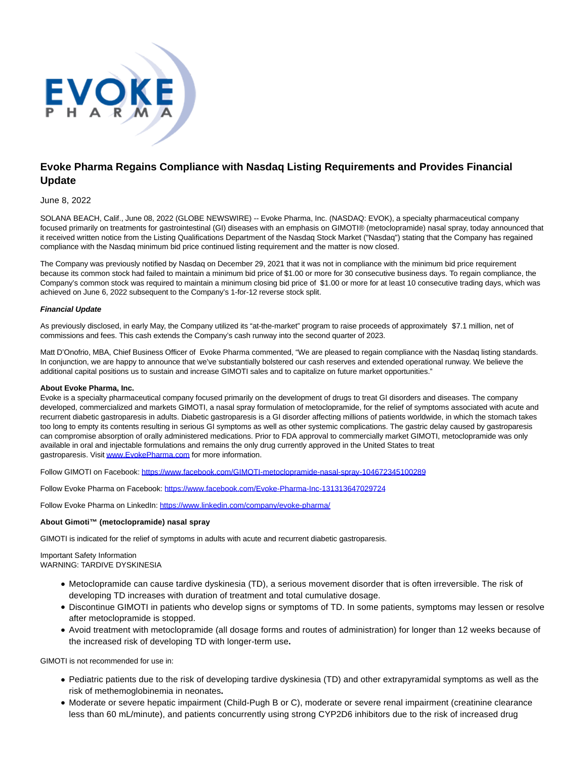

# **Evoke Pharma Regains Compliance with Nasdaq Listing Requirements and Provides Financial Update**

## June 8, 2022

SOLANA BEACH, Calif., June 08, 2022 (GLOBE NEWSWIRE) -- Evoke Pharma, Inc. (NASDAQ: EVOK), a specialty pharmaceutical company focused primarily on treatments for gastrointestinal (GI) diseases with an emphasis on GIMOTI® (metoclopramide) nasal spray, today announced that it received written notice from the Listing Qualifications Department of the Nasdaq Stock Market ("Nasdaq") stating that the Company has regained compliance with the Nasdaq minimum bid price continued listing requirement and the matter is now closed.

The Company was previously notified by Nasdaq on December 29, 2021 that it was not in compliance with the minimum bid price requirement because its common stock had failed to maintain a minimum bid price of \$1.00 or more for 30 consecutive business days. To regain compliance, the Company's common stock was required to maintain a minimum closing bid price of \$1.00 or more for at least 10 consecutive trading days, which was achieved on June 6, 2022 subsequent to the Company's 1-for-12 reverse stock split.

#### **Financial Update**

As previously disclosed, in early May, the Company utilized its "at-the-market" program to raise proceeds of approximately \$7.1 million, net of commissions and fees. This cash extends the Company's cash runway into the second quarter of 2023.

Matt D'Onofrio, MBA, Chief Business Officer of Evoke Pharma commented, "We are pleased to regain compliance with the Nasdaq listing standards. In conjunction, we are happy to announce that we've substantially bolstered our cash reserves and extended operational runway. We believe the additional capital positions us to sustain and increase GIMOTI sales and to capitalize on future market opportunities."

### **About Evoke Pharma, Inc.**

Evoke is a specialty pharmaceutical company focused primarily on the development of drugs to treat GI disorders and diseases. The company developed, commercialized and markets GIMOTI, a nasal spray formulation of metoclopramide, for the relief of symptoms associated with acute and recurrent diabetic gastroparesis in adults. Diabetic gastroparesis is a GI disorder affecting millions of patients worldwide, in which the stomach takes too long to empty its contents resulting in serious GI symptoms as well as other systemic complications. The gastric delay caused by gastroparesis can compromise absorption of orally administered medications. Prior to FDA approval to commercially market GIMOTI, metoclopramide was only available in oral and injectable formulations and remains the only drug currently approved in the United States to treat gastroparesis. Visi[t www.EvokePharma.com f](https://www.globenewswire.com/Tracker?data=1_uzzQv1T9nt_9vTncNE8P5CAnel5ZXoRmsmI2tthpNpMN_0Y0W6celvII1aMzqAYdPuftRWQtOH0CdiBdSNpjpSEX9DuXq4ysw_hPKEG_5D4OSVJ0hTngSJN9P_TyZQVnfdS6mK6oLffQaD1IjMpn37MoqmfOWbpIpVZ7yRBqpRvrIjc7eM9ZhAMuM7hnqXwTQoLkzrzhMi42dVPe7ZBf0AqMdyc3aUY23e9qgwrfq2F03cFXnsFrz6iwOUHoK0)or more information.

Follow GIMOTI on Facebook: [https://www.facebook.com/GIMOTI-metoclopramide-nasal-spray-104672345100289](https://www.globenewswire.com/Tracker?data=pemqDT_LrYW7tMEsV81QM3GgUvh-YTVykkoYabtbMGwkbW7l2Ah_HqtEoDn6ETarU3l_VST5jzAn7ihTxX62EKcd8DbyJwLhSF6Yc2WX2lfEVprCiS4wpMpiBQ-bb-c1-aL2lt1gK5BkxwYa-DgK2DEF9J6_DT3LbKj0mvwkDIW2ojCQX4DQx7ZRbTy1fklukekDGha6uprtfkHEBR2isxHdgZeuB3MNfrSJWXACzoI0WNR_yX7At1JdNMMq18cZC4B4q18dW1zPA9tgjFlxepdb8_AfP5-0vOg36Ab82Tp9DmGNa3BUfX9ob2OrqVD5HFUgw0ZyWW7uI6mIeiTL1nZ8JpV7iNJBnUKDbnq0DtPM7jEeCaKnwnoApvoPmYE-ZclM_FnEtl6HqZh1dzzXOMZA2BLVh25ANzo0bm9ugBOe7SpEiwZUqW3FK1UfMmMSet6iny1IENlaH1LmulwWwrsOOD6jzvbIqcHNsHQpFWoxQkYq1ucE7-y0yq87XtR1)

Follow Evoke Pharma on Facebook: [https://www.facebook.com/Evoke-Pharma-Inc-131313647029724](https://www.globenewswire.com/Tracker?data=pemqDT_LrYW7tMEsV81QM3GgUvh-YTVykkoYabtbMGxGGK_GDrv92CzJ9DLpk6xRZH_Om70oepjYSUok_a2y3v04U3Mcp0flPiuO-Mnn2MlCFNASjgkJLWzuLG8WO_FjQ_Z-jZWkgoW7AX-NPYnk1Ka9kk_AOG09rDAp8jeIfmCNCW6CQuH8How5-ZFfldkhvqIZTZnBdZ40PlWh6pDmzugbAF6Gfj9wtQUUOdSLr16BudnnVUxnht_5LfyzyMMk1oYt4Sur7kuhnpnGDhQNmDxUmBfuxMjJI2ZuHwXje2ZWErkRTI5FQYsEzmVpy9yLhwhLB_Ub16eVLQ8ZtKItJRmmOofneg2ZDPx6jFOdS8rNG62jYl8rR8LUm54MmYd956DLAr_jEZgJteqyoWMNVL2wEQcgq6cMqIPyQYXP9As=)

Follow Evoke Pharma on LinkedIn: [https://www.linkedin.com/company/evoke-pharma/](https://www.globenewswire.com/Tracker?data=pemqDT_LrYW7tMEsV81QM--GZlssSkMSxM7hugLEwFwKZFLVstrrU9r0bUQh-950W1MHxW-qY-Nbk0tGAl2iXMx-20xUYJqTUTwyTCe5Icr2N_e_UNOTXN3_aLtkF0H1s5-9kQrzD8AXNiYNHBNV3ul38vThYk41blJr9Uxu5FhcTDAeKYt9TVF1CCh2BsopPSs9yPwqnIKxfm7wHuN3HrwxGPTgFj3yqXXeMvtwDS_jHudGYcOaWuMgp9XjLYAFUlvMyIBmSUCIVaxrVTm0XMHZ8HrD3S23IUapZ3auiYNwCthe3-xuip5YYWX6Ndi5hdMMCv1f3z9_42p4_uQfH0Fj6udIlA3qFBQIPGAXwVRdPSexuOBWKQHz9_8PrN_t)

### **About Gimoti™ (metoclopramide) nasal spray**

GIMOTI is indicated for the relief of symptoms in adults with acute and recurrent diabetic gastroparesis.

Important Safety Information WARNING: TARDIVE DYSKINESIA

- Metoclopramide can cause tardive dyskinesia (TD), a serious movement disorder that is often irreversible. The risk of developing TD increases with duration of treatment and total cumulative dosage.
- Discontinue GIMOTI in patients who develop signs or symptoms of TD. In some patients, symptoms may lessen or resolve after metoclopramide is stopped.
- Avoid treatment with metoclopramide (all dosage forms and routes of administration) for longer than 12 weeks because of the increased risk of developing TD with longer-term use**.**

GIMOTI is not recommended for use in:

- Pediatric patients due to the risk of developing tardive dyskinesia (TD) and other extrapyramidal symptoms as well as the risk of methemoglobinemia in neonates**.**
- Moderate or severe hepatic impairment (Child-Pugh B or C), moderate or severe renal impairment (creatinine clearance less than 60 mL/minute), and patients concurrently using strong CYP2D6 inhibitors due to the risk of increased drug